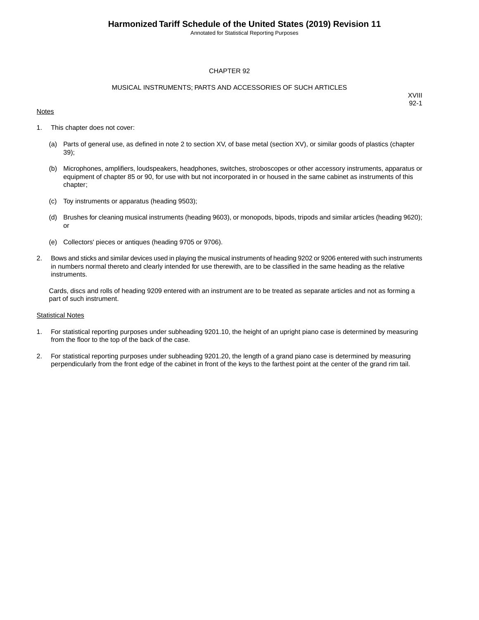Annotated for Statistical Reporting Purposes

#### CHAPTER 92

#### MUSICAL INSTRUMENTS; PARTS AND ACCESSORIES OF SUCH ARTICLES

#### **Notes**

XVIII 92-1

- 1. This chapter does not cover:
	- (a) Parts of general use, as defined in note 2 to section XV, of base metal (section XV), or similar goods of plastics (chapter 39);
	- (b) Microphones, amplifiers, loudspeakers, headphones, switches, stroboscopes or other accessory instruments, apparatus or equipment of chapter 85 or 90, for use with but not incorporated in or housed in the same cabinet as instruments of this chapter;
	- (c) Toy instruments or apparatus (heading 9503);
	- (d) Brushes for cleaning musical instruments (heading 9603), or monopods, bipods, tripods and similar articles (heading 9620); or
	- (e) Collectors' pieces or antiques (heading 9705 or 9706).
- 2. Bows and sticks and similar devices used in playing the musical instruments of heading 9202 or 9206 entered with such instruments in numbers normal thereto and clearly intended for use therewith, are to be classified in the same heading as the relative instruments.

Cards, discs and rolls of heading 9209 entered with an instrument are to be treated as separate articles and not as forming a part of such instrument.

#### **Statistical Notes**

- 1. For statistical reporting purposes under subheading 9201.10, the height of an upright piano case is determined by measuring from the floor to the top of the back of the case.
- 2. For statistical reporting purposes under subheading 9201.20, the length of a grand piano case is determined by measuring perpendicularly from the front edge of the cabinet in front of the keys to the farthest point at the center of the grand rim tail.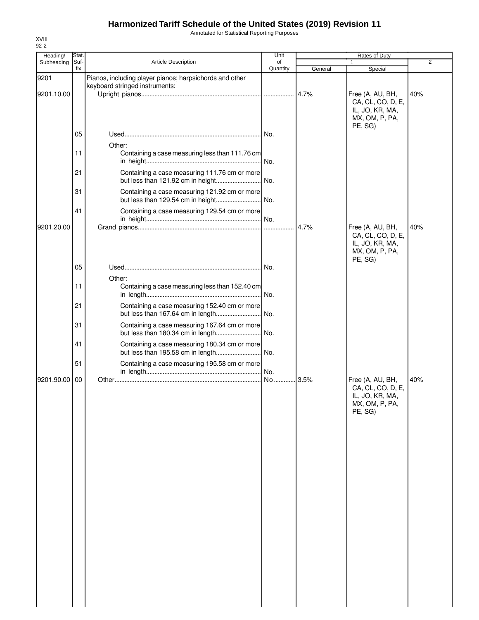Annotated for Statistical Reporting Purposes

| Heading/   | Stat. |                                                                                           | Unit     |         | Rates of Duty                                                                         |                |
|------------|-------|-------------------------------------------------------------------------------------------|----------|---------|---------------------------------------------------------------------------------------|----------------|
| Subheading | Suf-  | <b>Article Description</b>                                                                | of       |         |                                                                                       | $\overline{2}$ |
|            | fix   |                                                                                           | Quantity | General | Special                                                                               |                |
| 9201       |       | Pianos, including player pianos; harpsichords and other<br>keyboard stringed instruments: |          |         |                                                                                       |                |
| 9201.10.00 |       |                                                                                           |          | 4.7%    | Free (A, AU, BH,<br>CA, CL, CO, D, E,<br>IL, JO, KR, MA,<br>MX, OM, P, PA,            | 40%            |
|            | 05    |                                                                                           | No.      |         | PE, SG)                                                                               |                |
|            | 11    | Other:<br>Containing a case measuring less than 111.76 cm                                 |          |         |                                                                                       |                |
|            | 21    | Containing a case measuring 111.76 cm or more<br>but less than 121.92 cm in height        | .lNo.    |         |                                                                                       |                |
|            | 31    | Containing a case measuring 121.92 cm or more<br>but less than 129.54 cm in height        | No.      |         |                                                                                       |                |
|            | 41    | Containing a case measuring 129.54 cm or more                                             | No.      |         |                                                                                       |                |
| 9201.20.00 |       |                                                                                           |          | 4.7%    | Free (A, AU, BH,<br>CA, CL, CO, D, E,<br>IL, JO, KR, MA,<br>MX, OM, P, PA,            | 40%            |
|            | 05    | Other:                                                                                    |          |         | PE, SG)                                                                               |                |
|            | 11    | Containing a case measuring less than 152.40 cm                                           | .lNo.    |         |                                                                                       |                |
|            | 21    | Containing a case measuring 152.40 cm or more                                             |          |         |                                                                                       |                |
|            | 31    | Containing a case measuring 167.64 cm or more<br>but less than 180.34 cm in length        | . No.    |         |                                                                                       |                |
|            | 41    | Containing a case measuring 180.34 cm or more<br>but less than 195.58 cm in length        | No.      |         |                                                                                       |                |
|            | 51    | Containing a case measuring 195.58 cm or more                                             | No.      |         |                                                                                       |                |
| 9201.90.00 | 00    |                                                                                           | No       | 3.5%    | Free (A, AU, BH,<br>CA, CL, CO, D, E,<br>IL, JO, KR, MA,<br>MX, OM, P, PA,<br>PE, SG) | 40%            |
|            |       |                                                                                           |          |         |                                                                                       |                |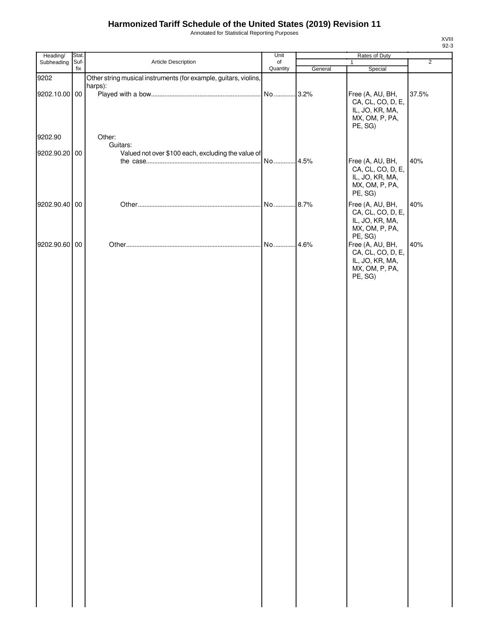Annotated for Statistical Reporting Purposes

| Heading/      | Stat.       |                                                                  | Unit           |         | Rates of Duty             |                |
|---------------|-------------|------------------------------------------------------------------|----------------|---------|---------------------------|----------------|
| Subheading    | Suf-<br>fix | Article Description                                              | of<br>Quantity |         | $\mathbf{1}$              | $\overline{2}$ |
| 9202          |             | Other string musical instruments (for example, guitars, violins, |                | General | Special                   |                |
|               |             | harps):                                                          |                |         |                           |                |
| 9202.10.00 00 |             |                                                                  | No             | .3.2%   | Free (A, AU, BH,          | 37.5%          |
|               |             |                                                                  |                |         | CA, CL, CO, D, E,         |                |
|               |             |                                                                  |                |         | IL, JO, KR, MA,           |                |
|               |             |                                                                  |                |         | MX, OM, P, PA,            |                |
|               |             |                                                                  |                |         | PE, SG)                   |                |
| 9202.90       |             | Other:                                                           |                |         |                           |                |
| 9202.90.20 00 |             | Guitars:<br>Valued not over \$100 each, excluding the value of   |                |         |                           |                |
|               |             |                                                                  | No             | 4.5%    | Free (A, AU, BH,          | 40%            |
|               |             |                                                                  |                |         | CA, CL, CO, D, E,         |                |
|               |             |                                                                  |                |         | IL, JO, KR, MA,           |                |
|               |             |                                                                  |                |         | MX, OM, P, PA,            |                |
|               |             |                                                                  |                |         | PE, SG)                   |                |
| 9202.90.40 00 |             |                                                                  | No             | .8.7%   | Free (A, AU, BH,          | 40%            |
|               |             |                                                                  |                |         | CA, CL, CO, D, E,         |                |
|               |             |                                                                  |                |         | IL, JO, KR, MA,           |                |
|               |             |                                                                  |                |         | MX, OM, P, PA,<br>PE, SG) |                |
| 9202.90.60 00 |             |                                                                  | No 4.6%        |         | Free (A, AU, BH,          | 40%            |
|               |             |                                                                  |                |         | CA, CL, CO, D, E,         |                |
|               |             |                                                                  |                |         | IL, JO, KR, MA,           |                |
|               |             |                                                                  |                |         | MX, OM, P, PA,            |                |
|               |             |                                                                  |                |         | PE, SG)                   |                |
|               |             |                                                                  |                |         |                           |                |
|               |             |                                                                  |                |         |                           |                |
|               |             |                                                                  |                |         |                           |                |
|               |             |                                                                  |                |         |                           |                |
|               |             |                                                                  |                |         |                           |                |
|               |             |                                                                  |                |         |                           |                |
|               |             |                                                                  |                |         |                           |                |
|               |             |                                                                  |                |         |                           |                |
|               |             |                                                                  |                |         |                           |                |
|               |             |                                                                  |                |         |                           |                |
|               |             |                                                                  |                |         |                           |                |
|               |             |                                                                  |                |         |                           |                |
|               |             |                                                                  |                |         |                           |                |
|               |             |                                                                  |                |         |                           |                |
|               |             |                                                                  |                |         |                           |                |
|               |             |                                                                  |                |         |                           |                |
|               |             |                                                                  |                |         |                           |                |
|               |             |                                                                  |                |         |                           |                |
|               |             |                                                                  |                |         |                           |                |
|               |             |                                                                  |                |         |                           |                |
|               |             |                                                                  |                |         |                           |                |
|               |             |                                                                  |                |         |                           |                |
|               |             |                                                                  |                |         |                           |                |
|               |             |                                                                  |                |         |                           |                |
|               |             |                                                                  |                |         |                           |                |
|               |             |                                                                  |                |         |                           |                |
|               |             |                                                                  |                |         |                           |                |
|               |             |                                                                  |                |         |                           |                |
|               |             |                                                                  |                |         |                           |                |
|               |             |                                                                  |                |         |                           |                |
|               |             |                                                                  |                |         |                           |                |
|               |             |                                                                  |                |         |                           |                |
|               |             |                                                                  |                |         |                           |                |
|               |             |                                                                  |                |         |                           |                |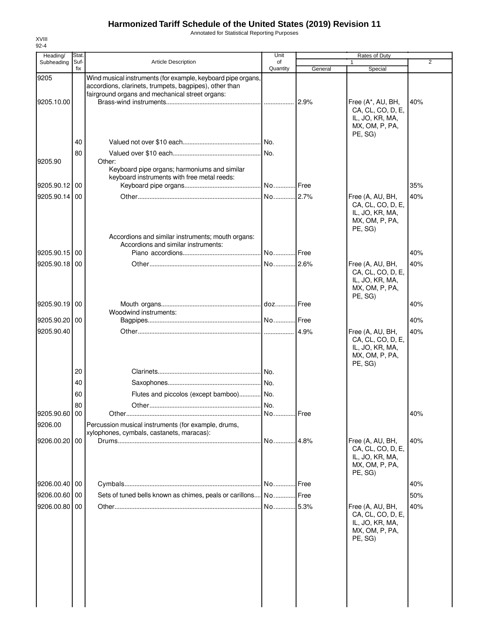Annotated for Statistical Reporting Purposes

| Heading/                 | Stat.       |                                                                                                                                                                           | Unit           |                | Rates of Duty                                                                          |                |
|--------------------------|-------------|---------------------------------------------------------------------------------------------------------------------------------------------------------------------------|----------------|----------------|----------------------------------------------------------------------------------------|----------------|
| Subheading               | Suf-<br>fix | <b>Article Description</b>                                                                                                                                                | of<br>Quantity | General        | Special                                                                                | $\overline{2}$ |
| 9205                     |             | Wind musical instruments (for example, keyboard pipe organs,<br>accordions, clarinets, trumpets, bagpipes), other than<br>fairground organs and mechanical street organs: |                |                |                                                                                        |                |
| 9205.10.00               |             |                                                                                                                                                                           |                | 2.9%           | Free (A*, AU, BH,<br>CA, CL, CO, D, E,<br>IL, JO, KR, MA,<br>MX, OM, P, PA,<br>PE. SG) | 40%            |
|                          | 40          |                                                                                                                                                                           | No.            |                |                                                                                        |                |
| 9205.90                  | 80          | Other:<br>Keyboard pipe organs; harmoniums and similar                                                                                                                    |                |                |                                                                                        |                |
| 9205.90.12 00            |             | keyboard instruments with free metal reeds:                                                                                                                               |                |                |                                                                                        | 35%            |
| 9205.90.14 00            |             |                                                                                                                                                                           | No 2.7%        |                | Free (A, AU, BH,<br>CA, CL, CO, D, E,<br>IL, JO, KR, MA,<br>MX, OM, P, PA,             | 40%            |
|                          |             | Accordions and similar instruments; mouth organs:<br>Accordions and similar instruments:                                                                                  |                |                | PE, SG)                                                                                |                |
| 9205.90.15 00            |             |                                                                                                                                                                           | No Free        |                |                                                                                        | 40%            |
| 9205.90.18 00            |             |                                                                                                                                                                           | No 2.6%        |                | Free (A, AU, BH,<br>CA, CL, CO, D, E,<br>IL, JO, KR, MA,<br>MX, OM, P, PA,<br>PE, SG)  | 40%            |
| 9205.90.19 00            |             | Woodwind instruments:                                                                                                                                                     |                |                |                                                                                        | 40%            |
| 9205.90.20 00            |             |                                                                                                                                                                           |                |                |                                                                                        | 40%            |
| 9205.90.40               |             |                                                                                                                                                                           |                |                | Free (A, AU, BH,<br>CA, CL, CO, D, E,<br>IL, JO, KR, MA,<br>MX, OM, P, PA,<br>PE, SG)  | 40%            |
|                          | 20          |                                                                                                                                                                           |                |                |                                                                                        |                |
|                          | 40          |                                                                                                                                                                           |                |                |                                                                                        |                |
|                          | 60          | Flutes and piccolos (except bamboo) No.                                                                                                                                   |                |                |                                                                                        |                |
|                          | 80          |                                                                                                                                                                           | No.            |                |                                                                                        |                |
| 9205.90.60 00<br>9206.00 |             | Percussion musical instruments (for example, drums,<br>xylophones, cymbals, castanets, maracas):                                                                          | No             | <b>.I</b> Free |                                                                                        | 40%            |
| 9206.00.20 00            |             |                                                                                                                                                                           | No             | 14.8%          | Free (A, AU, BH,<br>CA, CL, CO, D, E,<br>IL, JO, KR, MA,<br>MX, OM, P, PA,<br>PE, SG)  | 40%            |
| 9206.00.40 00            |             |                                                                                                                                                                           |                |                |                                                                                        | 40%            |
| 9206.00.60 00            |             | Sets of tuned bells known as chimes, peals or carillons                                                                                                                   | No Free        |                |                                                                                        | 50%            |
| 9206.00.80 00            |             |                                                                                                                                                                           | No 5.3%        |                | Free (A, AU, BH,<br>CA, CL, CO, D, E,<br>IL, JO, KR, MA,<br>MX, OM, P, PA,<br>PE, SG)  | 40%            |
|                          |             |                                                                                                                                                                           |                |                |                                                                                        |                |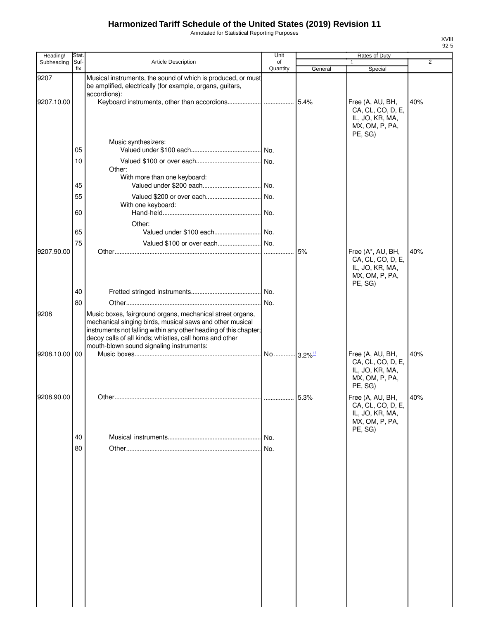Annotated for Statistical Reporting Purposes

| Heading/   | Stat.       |                                                                                                                                                                                                                                                                                                    | Unit           |         | Rates of Duty                                                                          |                |
|------------|-------------|----------------------------------------------------------------------------------------------------------------------------------------------------------------------------------------------------------------------------------------------------------------------------------------------------|----------------|---------|----------------------------------------------------------------------------------------|----------------|
| Subheading | Suf-<br>fix | <b>Article Description</b>                                                                                                                                                                                                                                                                         | of<br>Quantity | General | 1<br>Special                                                                           | $\overline{2}$ |
| 9207       |             | Musical instruments, the sound of which is produced, or must<br>be amplified, electrically (for example, organs, guitars,<br>accordions):                                                                                                                                                          |                |         |                                                                                        |                |
| 9207.10.00 |             |                                                                                                                                                                                                                                                                                                    |                |         | Free (A, AU, BH,<br>CA, CL, CO, D, E,<br>IL, JO, KR, MA,<br>MX, OM, P, PA,<br>PE, SG)  | 40%            |
|            | 05          | Music synthesizers:                                                                                                                                                                                                                                                                                |                |         |                                                                                        |                |
|            | 10          | Other:<br>With more than one keyboard:                                                                                                                                                                                                                                                             |                |         |                                                                                        |                |
|            | 45<br>55    |                                                                                                                                                                                                                                                                                                    |                |         |                                                                                        |                |
|            | 60          | With one keyboard:                                                                                                                                                                                                                                                                                 |                |         |                                                                                        |                |
|            | 65          | Other:                                                                                                                                                                                                                                                                                             |                |         |                                                                                        |                |
|            | 75          | Valued \$100 or over each No.                                                                                                                                                                                                                                                                      |                |         |                                                                                        |                |
| 9207.90.00 |             |                                                                                                                                                                                                                                                                                                    |                | 5%      | Free (A*, AU, BH,<br>CA, CL, CO, D, E,<br>IL, JO, KR, MA,<br>MX, OM, P, PA,<br>PE, SG) | 40%            |
|            | 40          |                                                                                                                                                                                                                                                                                                    |                |         |                                                                                        |                |
|            | 80          |                                                                                                                                                                                                                                                                                                    |                |         |                                                                                        |                |
| 9208       |             | Music boxes, fairground organs, mechanical street organs,<br>mechanical singing birds, musical saws and other musical<br>instruments not falling within any other heading of this chapter;<br>decoy calls of all kinds; whistles, call horns and other<br>mouth-blown sound signaling instruments: |                |         |                                                                                        |                |
| 9208.10.00 | 00          |                                                                                                                                                                                                                                                                                                    |                |         | Free (A, AU, BH,<br>CA, CL, CO, D, E,<br>IL, JO, KR, MA,<br>MX, OM, P, PA,<br>PE, SG)  | 40%            |
| 9208.90.00 |             |                                                                                                                                                                                                                                                                                                    |                |         | Free (A, AU, BH,<br>CA, CL, CO, D, E,<br>IL, JO, KR, MA,<br>MX, OM, P, PA,             | 40%            |
|            | 40          |                                                                                                                                                                                                                                                                                                    | No.            |         | PE, SG)                                                                                |                |
|            | 80          |                                                                                                                                                                                                                                                                                                    | I No.          |         |                                                                                        |                |
|            |             |                                                                                                                                                                                                                                                                                                    |                |         |                                                                                        |                |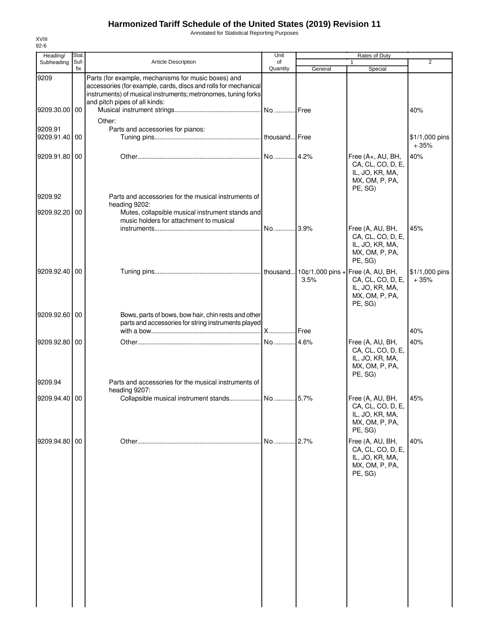Annotated for Statistical Reporting Purposes

| Stat. |                                                                                                                                                                                         | Unit                                                                                                                                           |                                                                                                                           | Rates of Duty                                                                          |                                                                 |
|-------|-----------------------------------------------------------------------------------------------------------------------------------------------------------------------------------------|------------------------------------------------------------------------------------------------------------------------------------------------|---------------------------------------------------------------------------------------------------------------------------|----------------------------------------------------------------------------------------|-----------------------------------------------------------------|
| fix   |                                                                                                                                                                                         |                                                                                                                                                |                                                                                                                           |                                                                                        | $\overline{2}$                                                  |
|       | Parts (for example, mechanisms for music boxes) and<br>accessories (for example, cards, discs and rolls for mechanical<br>instruments) of musical instruments; metronomes, tuning forks |                                                                                                                                                |                                                                                                                           |                                                                                        |                                                                 |
|       | Other:                                                                                                                                                                                  |                                                                                                                                                |                                                                                                                           |                                                                                        | 40%                                                             |
| 00    | Parts and accessories for pianos:                                                                                                                                                       |                                                                                                                                                |                                                                                                                           |                                                                                        | \$1/1,000 pins<br>$+35%$                                        |
|       |                                                                                                                                                                                         |                                                                                                                                                |                                                                                                                           | Free (A+, AU, BH,<br>CA, CL, CO, D, E,<br>IL, JO, KR, MA,<br>MX, OM, P, PA,<br>PE, SG) | 40%                                                             |
|       | Parts and accessories for the musical instruments of                                                                                                                                    |                                                                                                                                                |                                                                                                                           |                                                                                        |                                                                 |
| 00    | music holders for attachment to musical                                                                                                                                                 |                                                                                                                                                |                                                                                                                           |                                                                                        |                                                                 |
|       |                                                                                                                                                                                         |                                                                                                                                                |                                                                                                                           | Free (A, AU, BH,<br>CA, CL, CO, D, E,<br>IL, JO, KR, MA,<br>MX, OM, P, PA,<br>PE, SG)  | 45%                                                             |
|       |                                                                                                                                                                                         |                                                                                                                                                | 3.5%                                                                                                                      | CA, CL, CO, D, E,<br>IL, JO, KR, MA,<br>MX, OM, P, PA,<br>PE, SG)                      | \$1/1,000 pins<br>$+35%$                                        |
|       | parts and accessories for string instruments played                                                                                                                                     |                                                                                                                                                |                                                                                                                           |                                                                                        | 40%                                                             |
|       |                                                                                                                                                                                         |                                                                                                                                                |                                                                                                                           |                                                                                        |                                                                 |
|       |                                                                                                                                                                                         |                                                                                                                                                |                                                                                                                           | CA, CL, CO, D, E,<br>IL, JO, KR, MA,<br>MX, OM, P, PA,<br>PE, SG)                      | 40%                                                             |
|       |                                                                                                                                                                                         |                                                                                                                                                |                                                                                                                           |                                                                                        |                                                                 |
|       |                                                                                                                                                                                         |                                                                                                                                                |                                                                                                                           | CA, CL, CO, D, E,<br>IL, JO, KR, MA,<br>MX, OM, P, PA,                                 | 45%                                                             |
|       |                                                                                                                                                                                         | No                                                                                                                                             | 2.7%                                                                                                                      | Free (A, AU, BH,<br>CA, CL, CO, D, E,<br>IL, JO, KR, MA,<br>MX, OM, P, PA,<br>PE, SG)  | 40%                                                             |
|       | Suf-<br>9209.30.00 00<br>9209.91.40<br>9209.91.80 00<br>9209.92.20<br>9209.92.40 00<br>9209.92.60 00<br>9209.92.80 00<br>9209.94.40 00<br>9209.94.80 00                                 | Article Description<br>and pitch pipes of all kinds:<br>heading 9202:<br>Parts and accessories for the musical instruments of<br>heading 9207: | of<br>Quantity<br>Mutes, collapsible musical instrument stands and<br>Bows, parts of bows, bow hair, chin rests and other | General<br><b>IFree</b><br>4.6%                                                        | 1<br>Special<br>Free (A, AU, BH,<br>Free (A, AU, BH,<br>PE, SG) |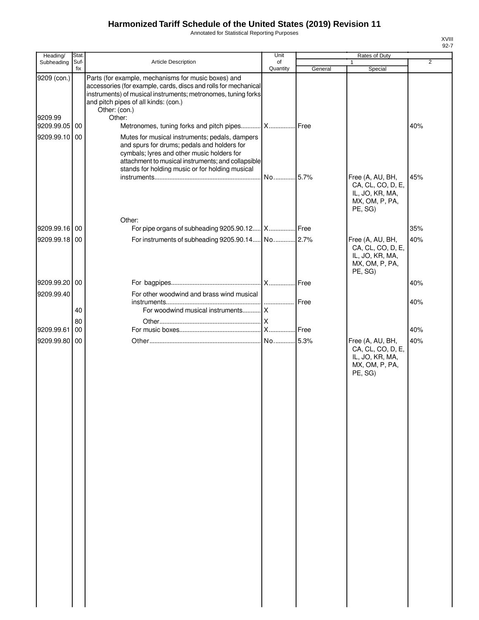Annotated for Statistical Reporting Purposes

| Heading/      | Stat.       |                                                                                                                                                                                                                                                      | Unit           |         | Rates of Duty                                                                         |                |
|---------------|-------------|------------------------------------------------------------------------------------------------------------------------------------------------------------------------------------------------------------------------------------------------------|----------------|---------|---------------------------------------------------------------------------------------|----------------|
| Subheading    | Suf-<br>fix | Article Description                                                                                                                                                                                                                                  | of<br>Quantity | General | 1<br>Special                                                                          | $\overline{2}$ |
| 9209 (con.)   |             | Parts (for example, mechanisms for music boxes) and<br>accessories (for example, cards, discs and rolls for mechanical<br>instruments) of musical instruments; metronomes, tuning forks<br>and pitch pipes of all kinds: (con.)<br>Other: (con.)     |                |         |                                                                                       |                |
| 9209.99       |             | Other:                                                                                                                                                                                                                                               |                |         |                                                                                       |                |
| 9209.99.05    | 00          | Metronomes, tuning forks and pitch pipes X Free                                                                                                                                                                                                      |                |         |                                                                                       | 40%            |
| 9209.99.10 00 |             | Mutes for musical instruments; pedals, dampers<br>and spurs for drums; pedals and holders for<br>cymbals; lyres and other music holders for<br>attachment to musical instruments; and collapsible<br>stands for holding music or for holding musical | No 5.7%        |         | Free (A, AU, BH,<br>CA, CL, CO, D, E,                                                 | 45%            |
|               |             | Other:                                                                                                                                                                                                                                               |                |         | IL, JO, KR, MA,<br>MX, OM, P, PA,<br>PE, SG)                                          |                |
| 9209.99.16 00 |             | For pipe organs of subheading 9205.90.12 X Free                                                                                                                                                                                                      |                |         |                                                                                       | 35%            |
| 9209.99.18 00 |             |                                                                                                                                                                                                                                                      |                |         | Free (A, AU, BH,<br>CA, CL, CO, D, E,<br>IL, JO, KR, MA,<br>MX, OM, P, PA,<br>PE, SG) | 40%            |
| 9209.99.20 00 |             |                                                                                                                                                                                                                                                      |                |         |                                                                                       | 40%            |
| 9209.99.40    |             | For other woodwind and brass wind musical                                                                                                                                                                                                            |                |         |                                                                                       |                |
|               | 40          |                                                                                                                                                                                                                                                      |                | Free    |                                                                                       | 40%            |
|               | 80          |                                                                                                                                                                                                                                                      |                |         |                                                                                       |                |
| 9209.99.61    | 00          |                                                                                                                                                                                                                                                      |                |         |                                                                                       | 40%            |
| 9209.99.80    | 00          |                                                                                                                                                                                                                                                      |                |         | Free (A, AU, BH,<br>CA, CL, CO, D, E,<br>IL, JO, KR, MA,<br>MX, OM, P, PA,<br>PE, SG) | 40%            |
|               |             |                                                                                                                                                                                                                                                      |                |         |                                                                                       |                |